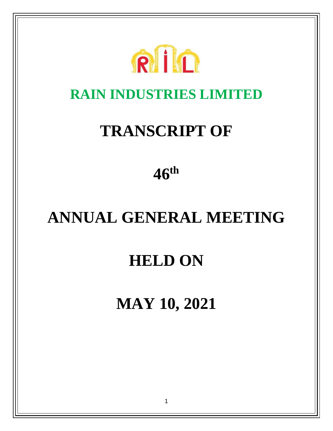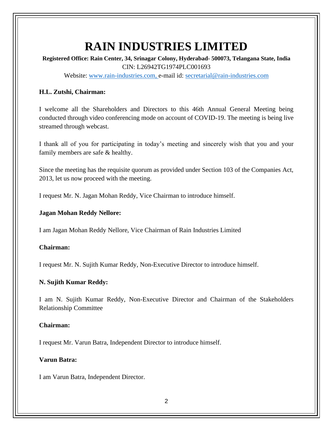# **RAIN INDUSTRIES LIMITED**

**Registered Office: Rain Center, 34, Srinagar Colony, Hyderabad- 500073, Telangana State, India** CIN: L26942TG1974PLC001693 Website: [www.rain-industries.com,](http://www.rain-industries.com/) e-mail id: [secretarial@rain-industries.com](mailto:secretarial@rain-industries.com)

# **H.L. Zutshi, Chairman:**

I welcome all the Shareholders and Directors to this 46th Annual General Meeting being conducted through video conferencing mode on account of COVID-19. The meeting is being live streamed through webcast.

I thank all of you for participating in today's meeting and sincerely wish that you and your family members are safe & healthy.

Since the meeting has the requisite quorum as provided under Section 103 of the Companies Act, 2013, let us now proceed with the meeting.

I request Mr. N. Jagan Mohan Reddy, Vice Chairman to introduce himself.

# **Jagan Mohan Reddy Nellore:**

I am Jagan Mohan Reddy Nellore, Vice Chairman of Rain Industries Limited

# **Chairman:**

I request Mr. N. Sujith Kumar Reddy, Non-Executive Director to introduce himself.

# **N. Sujith Kumar Reddy:**

I am N. Sujith Kumar Reddy, Non-Executive Director and Chairman of the Stakeholders Relationship Committee

#### **Chairman:**

I request Mr. Varun Batra, Independent Director to introduce himself.

# **Varun Batra:**

I am Varun Batra, Independent Director.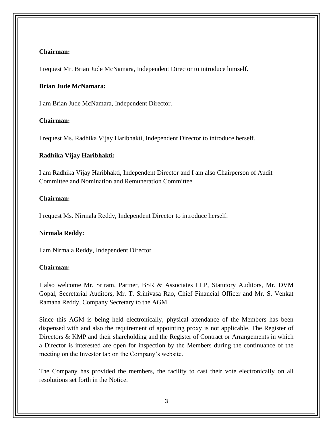## **Chairman:**

I request Mr. Brian Jude McNamara, Independent Director to introduce himself.

#### **Brian Jude McNamara:**

I am Brian Jude McNamara, Independent Director.

# **Chairman:**

I request Ms. Radhika Vijay Haribhakti, Independent Director to introduce herself.

#### **Radhika Vijay Haribhakti:**

I am Radhika Vijay Haribhakti, Independent Director and I am also Chairperson of Audit Committee and Nomination and Remuneration Committee.

## **Chairman:**

I request Ms. Nirmala Reddy, Independent Director to introduce herself.

#### **Nirmala Reddy:**

I am Nirmala Reddy, Independent Director

#### **Chairman:**

I also welcome Mr. Sriram, Partner, BSR & Associates LLP, Statutory Auditors, Mr. DVM Gopal, Secretarial Auditors, Mr. T. Srinivasa Rao, Chief Financial Officer and Mr. S. Venkat Ramana Reddy, Company Secretary to the AGM.

Since this AGM is being held electronically, physical attendance of the Members has been dispensed with and also the requirement of appointing proxy is not applicable. The Register of Directors & KMP and their shareholding and the Register of Contract or Arrangements in which a Director is interested are open for inspection by the Members during the continuance of the meeting on the Investor tab on the Company's website.

The Company has provided the members, the facility to cast their vote electronically on all resolutions set forth in the Notice.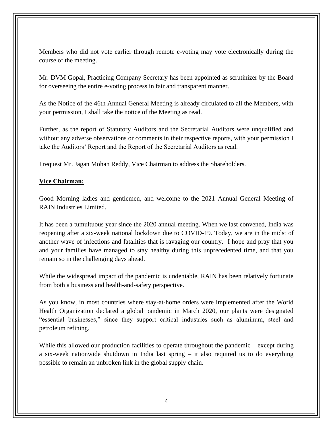Members who did not vote earlier through remote e-voting may vote electronically during the course of the meeting.

Mr. DVM Gopal, Practicing Company Secretary has been appointed as scrutinizer by the Board for overseeing the entire e-voting process in fair and transparent manner.

As the Notice of the 46th Annual General Meeting is already circulated to all the Members, with your permission, I shall take the notice of the Meeting as read.

Further, as the report of Statutory Auditors and the Secretarial Auditors were unqualified and without any adverse observations or comments in their respective reports, with your permission I take the Auditors' Report and the Report of the Secretarial Auditors as read.

I request Mr. Jagan Mohan Reddy, Vice Chairman to address the Shareholders.

## **Vice Chairman:**

Good Morning ladies and gentlemen, and welcome to the 2021 Annual General Meeting of RAIN Industries Limited.

It has been a tumultuous year since the 2020 annual meeting. When we last convened, India was reopening after a six-week national lockdown due to COVID-19. Today, we are in the midst of another wave of infections and fatalities that is ravaging our country. I hope and pray that you and your families have managed to stay healthy during this unprecedented time, and that you remain so in the challenging days ahead.

While the widespread impact of the pandemic is undeniable, RAIN has been relatively fortunate from both a business and health-and-safety perspective.

As you know, in most countries where stay-at-home orders were implemented after the World Health Organization declared a global pandemic in March 2020, our plants were designated "essential businesses," since they support critical industries such as aluminum, steel and petroleum refining.

While this allowed our production facilities to operate throughout the pandemic – except during a six-week nationwide shutdown in India last spring – it also required us to do everything possible to remain an unbroken link in the global supply chain.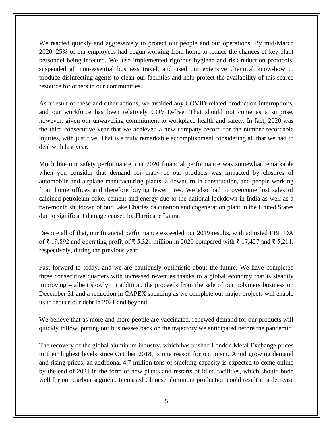We reacted quickly and aggressively to protect our people and our operations. By mid-March 2020, 25% of our employees had begun working from home to reduce the chances of key plant personnel being infected. We also implemented rigorous hygiene and risk-reduction protocols, suspended all non-essential business travel, and used our extensive chemical know-how to produce disinfecting agents to clean our facilities and help protect the availability of this scarce resource for others in our communities.

As a result of these and other actions, we avoided any COVID-related production interruptions, and our workforce has been relatively COVID-free. That should not come as a surprise, however, given our unwavering commitment to workplace health and safety. In fact, 2020 was the third consecutive year that we achieved a new company record for the number recordable injuries, with just five. That is a truly remarkable accomplishment considering all that we had to deal with last year.

Much like our safety performance, our 2020 financial performance was somewhat remarkable when you consider that demand for many of our products was impacted by closures of automobile and airplane manufacturing plants, a downturn in construction, and people working from home offices and therefore buying fewer tires. We also had to overcome lost sales of calcined petroleum coke, cement and energy due to the national lockdown in India as well as a two-month shutdown of our Lake Charles calcination and cogeneration plant in the United States due to significant damage caused by Hurricane Laura.

Despite all of that, our financial performance exceeded our 2019 results, with adjusted EBITDA of ₹ 19,892 and operating profit of ₹ 5,321 million in 2020 compared with ₹ 17,427 and ₹ 5,211, respectively, during the previous year.

Fast forward to today, and we are cautiously optimistic about the future. We have completed three consecutive quarters with increased revenues thanks to a global economy that is steadily improving – albeit slowly. In addition, the proceeds from the sale of our polymers business on December 31 and a reduction in CAPEX spending as we complete our major projects will enable us to reduce our debt in 2021 and beyond.

We believe that as more and more people are vaccinated, renewed demand for our products will quickly follow, putting our businesses back on the trajectory we anticipated before the pandemic.

The recovery of the global aluminum industry, which has pushed London Metal Exchange prices to their highest levels since October 2018, is one reason for optimism. Amid growing demand and rising prices, an additional 4.7 million tons of smelting capacity is expected to come online by the end of 2021 in the form of new plants and restarts of idled facilities, which should bode well for our Carbon segment. Increased Chinese aluminum production could result in a decrease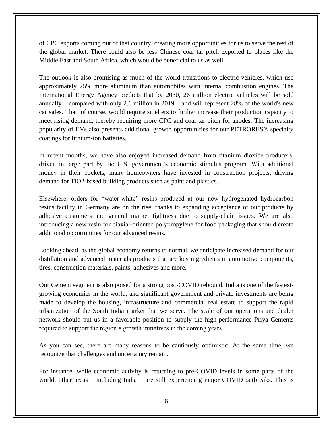of CPC exports coming out of that country, creating more opportunities for us to serve the rest of the global market. There could also be less Chinese coal tar pitch exported to places like the Middle East and South Africa, which would be beneficial to us as well.

The outlook is also promising as much of the world transitions to electric vehicles, which use approximately 25% more aluminum than automobiles with internal combustion engines. The International Energy Agency predicts that by 2030, 26 million electric vehicles will be sold annually – compared with only 2.1 million in 2019 – and will represent 28% of the world's new car sales. That, of course, would require smelters to further increase their production capacity to meet rising demand, thereby requiring more CPC and coal tar pitch for anodes. The increasing popularity of EVs also presents additional growth opportunities for our PETRORES® specialty coatings for lithium-ion batteries.

In recent months, we have also enjoyed increased demand from titanium dioxide producers, driven in large part by the U.S. government's economic stimulus program. With additional money in their pockets, many homeowners have invested in construction projects, driving demand for TiO2-based building products such as paint and plastics.

Elsewhere, orders for "water-white" resins produced at our new hydrogenated hydrocarbon resins facility in Germany are on the rise, thanks to expanding acceptance of our products by adhesive customers and general market tightness due to supply-chain issues. We are also introducing a new resin for biaxial-oriented polypropylene for food packaging that should create additional opportunities for our advanced resins.

Looking ahead, as the global economy returns to normal, we anticipate increased demand for our distillation and advanced materials products that are key ingredients in automotive components, tires, construction materials, paints, adhesives and more.

Our Cement segment is also poised for a strong post-COVID rebound. India is one of the fastestgrowing economies in the world, and significant government and private investments are being made to develop the housing, infrastructure and commercial real estate to support the rapid urbanization of the South India market that we serve. The scale of our operations and dealer network should put us in a favorable position to supply the high-performance Priya Cements required to support the region's growth initiatives in the coming years.

As you can see, there are many reasons to be cautiously optimistic. At the same time, we recognize that challenges and uncertainty remain.

For instance, while economic activity is returning to pre-COVID levels in some parts of the world, other areas – including India – are still experiencing major COVID outbreaks. This is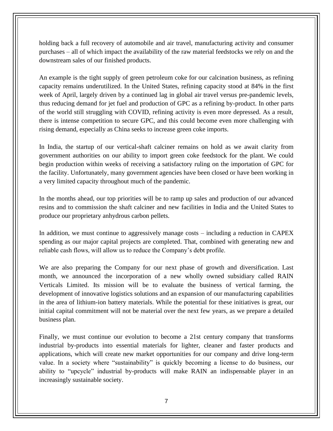holding back a full recovery of automobile and air travel, manufacturing activity and consumer purchases – all of which impact the availability of the raw material feedstocks we rely on and the downstream sales of our finished products.

An example is the tight supply of green petroleum coke for our calcination business, as refining capacity remains underutilized. In the United States, refining capacity stood at 84% in the first week of April, largely driven by a continued lag in global air travel versus pre-pandemic levels, thus reducing demand for jet fuel and production of GPC as a refining by-product. In other parts of the world still struggling with COVID, refining activity is even more depressed. As a result, there is intense competition to secure GPC, and this could become even more challenging with rising demand, especially as China seeks to increase green coke imports.

In India, the startup of our vertical-shaft calciner remains on hold as we await clarity from government authorities on our ability to import green coke feedstock for the plant. We could begin production within weeks of receiving a satisfactory ruling on the importation of GPC for the facility. Unfortunately, many government agencies have been closed or have been working in a very limited capacity throughout much of the pandemic.

In the months ahead, our top priorities will be to ramp up sales and production of our advanced resins and to commission the shaft calciner and new facilities in India and the United States to produce our proprietary anhydrous carbon pellets.

In addition, we must continue to aggressively manage costs – including a reduction in CAPEX spending as our major capital projects are completed. That, combined with generating new and reliable cash flows, will allow us to reduce the Company's debt profile.

We are also preparing the Company for our next phase of growth and diversification. Last month, we announced the incorporation of a new wholly owned subsidiary called RAIN Verticals Limited. Its mission will be to evaluate the business of vertical farming, the development of innovative logistics solutions and an expansion of our manufacturing capabilities in the area of lithium-ion battery materials. While the potential for these initiatives is great, our initial capital commitment will not be material over the next few years, as we prepare a detailed business plan.

Finally, we must continue our evolution to become a 21st century company that transforms industrial by-products into essential materials for lighter, cleaner and faster products and applications, which will create new market opportunities for our company and drive long-term value. In a society where "sustainability" is quickly becoming a license to do business, our ability to "upcycle" industrial by-products will make RAIN an indispensable player in an increasingly sustainable society.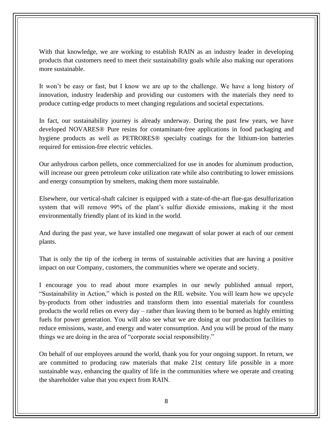With that knowledge, we are working to establish RAIN as an industry leader in developing products that customers need to meet their sustainability goals while also making our operations more sustainable.

It won't be easy or fast, but I know we are up to the challenge. We have a long history of innovation, industry leadership and providing our customers with the materials they need to produce cutting-edge products to meet changing regulations and societal expectations.

In fact, our sustainability journey is already underway. During the past few years, we have developed NOVARES® Pure resins for contaminant-free applications in food packaging and hygiene products as well as PETRORES® specialty coatings for the lithium-ion batteries required for emission-free electric vehicles.

Our anhydrous carbon pellets, once commercialized for use in anodes for aluminum production, will increase our green petroleum coke utilization rate while also contributing to lower emissions and energy consumption by smelters, making them more sustainable.

Elsewhere, our vertical-shaft calciner is equipped with a state-of-the-art flue-gas desulfurization system that will remove 99% of the plant's sulfur dioxide emissions, making it the most environmentally friendly plant of its kind in the world.

And during the past year, we have installed one megawatt of solar power at each of our cement plants.

That is only the tip of the iceberg in terms of sustainable activities that are having a positive impact on our Company, customers, the communities where we operate and society.

I encourage you to read about more examples in our newly published annual report, "Sustainability in Action," which is posted on the RIL website. You will learn how we upcycle by-products from other industries and transform them into essential materials for countless products the world relies on every day – rather than leaving them to be burned as highly emitting fuels for power generation. You will also see what we are doing at our production facilities to reduce emissions, waste, and energy and water consumption. And you will be proud of the many things we are doing in the area of "corporate social responsibility."

On behalf of our employees around the world, thank you for your ongoing support. In return, we are committed to producing raw materials that make 21st century life possible in a more sustainable way, enhancing the quality of life in the communities where we operate and creating the shareholder value that you expect from RAIN.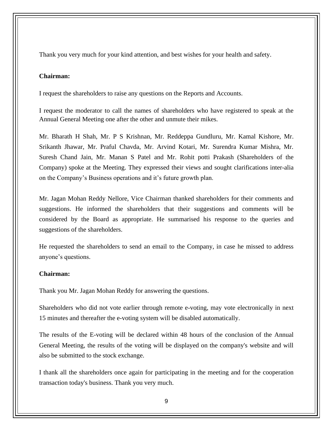Thank you very much for your kind attention, and best wishes for your health and safety.

## **Chairman:**

I request the shareholders to raise any questions on the Reports and Accounts.

I request the moderator to call the names of shareholders who have registered to speak at the Annual General Meeting one after the other and unmute their mikes.

Mr. Bharath H Shah, Mr. P S Krishnan, Mr. Reddeppa Gundluru, Mr. Kamal Kishore, Mr. Srikanth Jhawar, Mr. Praful Chavda, Mr. Arvind Kotari, Mr. Surendra Kumar Mishra, Mr. Suresh Chand Jain, Mr. Manan S Patel and Mr. Rohit potti Prakash (Shareholders of the Company) spoke at the Meeting. They expressed their views and sought clarifications inter-alia on the Company's Business operations and it's future growth plan.

Mr. Jagan Mohan Reddy Nellore, Vice Chairman thanked shareholders for their comments and suggestions. He informed the shareholders that their suggestions and comments will be considered by the Board as appropriate. He summarised his response to the queries and suggestions of the shareholders.

He requested the shareholders to send an email to the Company, in case he missed to address anyone's questions.

#### **Chairman:**

Thank you Mr. Jagan Mohan Reddy for answering the questions.

Shareholders who did not vote earlier through remote e-voting, may vote electronically in next 15 minutes and thereafter the e-voting system will be disabled automatically.

The results of the E-voting will be declared within 48 hours of the conclusion of the Annual General Meeting, the results of the voting will be displayed on the company's website and will also be submitted to the stock exchange.

I thank all the shareholders once again for participating in the meeting and for the cooperation transaction today's business. Thank you very much.